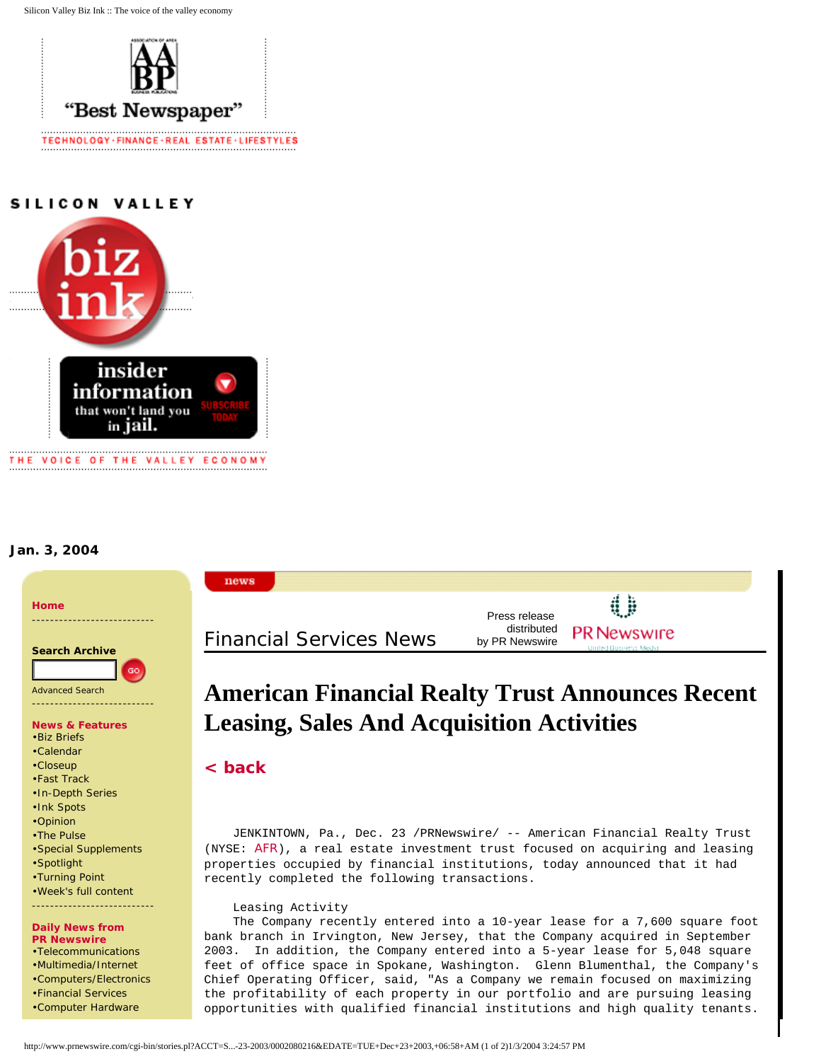Silicon Valley Biz Ink :: The voice of the valley economy



# SILICON VALLEY



## **Jan. 3, 2004**

•[Computer Hardware](http://www.prnewswire.com/cgi-bin/ind_display.pl?Account=HRD&Template=SVBIZINK5.menu)



opportunities with qualified financial institutions and high quality tenants.

http://www.prnewswire.com/cgi-bin/stories.pl?ACCT=S...-23-2003/0002080216&EDATE=TUE+Dec+23+2003,+06:58+AM (1 of 2)1/3/2004 3:24:57 PM